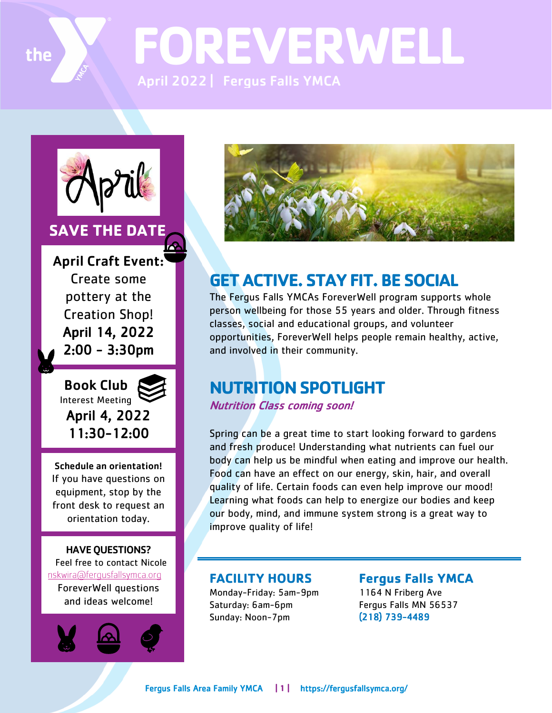

**FOREVERWELL** April 2022 | Fergus Falls YMCA



## **SAVE THE DATE**

April Craft Event: Create some pottery at the Creation Shop! April 14, 2022 2:00 - 3:30pm

 Book Club Interest Meeting April 4, 2022 11:30-12:00

Schedule an orientation! If you have questions on equipment, stop by the front desk to request an orientation today.

HAVE QUESTIONS? [Feel free to contact Nicole](mailto:nskwira@fergusfallsymca.org) nskwira@ferqusfallsymca.org ForeverWell questions and ideas welcome!





## **GET ACTIVE. STAY FIT. BE SOCIAL**

The Fergus Falls YMCAs ForeverWell program supports whole person wellbeing for those 55 years and older. Through fitness classes, social and educational groups, and volunteer opportunities, ForeverWell helps people remain healthy, active, and involved in their community.

## **NUTRITION SPOTLIGHT**

### Nutrition Class coming soon!

Spring can be a great time to start looking forward to gardens and fresh produce! Understanding what nutrients can fuel our body can help us be mindful when eating and improve our health. Food can have an effect on our energy, skin, hair, and overall quality of life. Certain foods can even help improve our mood! Learning what foods can help to energize our bodies and keep our body, mind, and immune system strong is a great way to improve quality of life!

### **FACILITY HOURS**

Monday-Friday: 5am-9pm Saturday: 6am-6pm Sunday: Noon-7pm

**Fergus Falls YMCA**  1164 N Friberg Ave Fergus Falls MN 56537 (218) 739-4489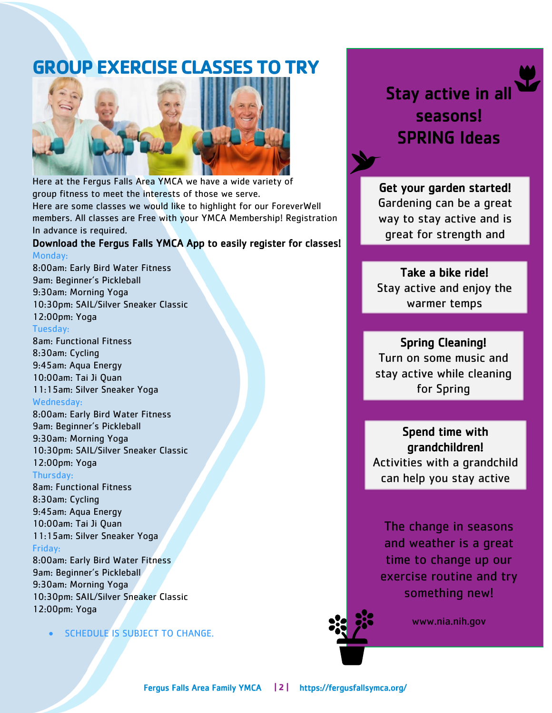## **GROUP EXERCISE CLASSES TO TRY**



Here at the Fergus Falls Area YMCA we have a wide variety of group fitness to meet the interests of those we serve. Here are some classes we would like to highlight for our ForeverWell members. All classes are Free with your YMCA Membership! Registration

### In advance is required. Download the Fergus Falls YMCA App to easily register for classes!

#### Monday: 8:00am: Early Bird Water Fitness 9am: Beginner's Pickleball 9:30am: Morning Yoga 10:30pm: SAIL/Silver Sneaker Classic 12:00pm: Yoga Tuesday: 8am: Functional Fitness 8:30am: Cycling 9:45am: Aqua Energy 10:00am: Tai Ji Quan 11:15am: Silver Sneaker Yoga Wednesday: 8:00am: Early Bird Water Fitness 9am: Beginner's Pickleball 9:30am: Morning Yoga 10:30pm: SAIL/Silver Sneaker Classic 12:00pm: Yoga Thursday: 8am: Functional Fitness 8:30am: Cycling

9:45am: Aqua Energy 10:00am: Tai Ji Quan 11:15am: Silver Sneaker Yoga Friday:

8:00am: Early Bird Water Fitness 9am: Beginner's Pickleball 9:30am: Morning Yoga 10:30pm: SAIL/Silver Sneaker Classic 12:00pm: Yoga

**SCHEDULE IS SUBJECT TO CHANGE.** 

# Stay active in all seasons! SPRING Ideas

#### l Get your garden started! Gardening can be a great way to stay active and is great for strength and l

#### Į Take a bike ride!

flexibility

 Stay active and enjoy the warmer temps í

#### . Spring Cleaning!

 Turn on some music and stay active while cleaning for Spring í

j Spend time with grandchildren! Activities with a grandchild can help you stay active

The change in seasons and weather is a great time to change up our exercise routine and try something new!

www.nia.nih.gov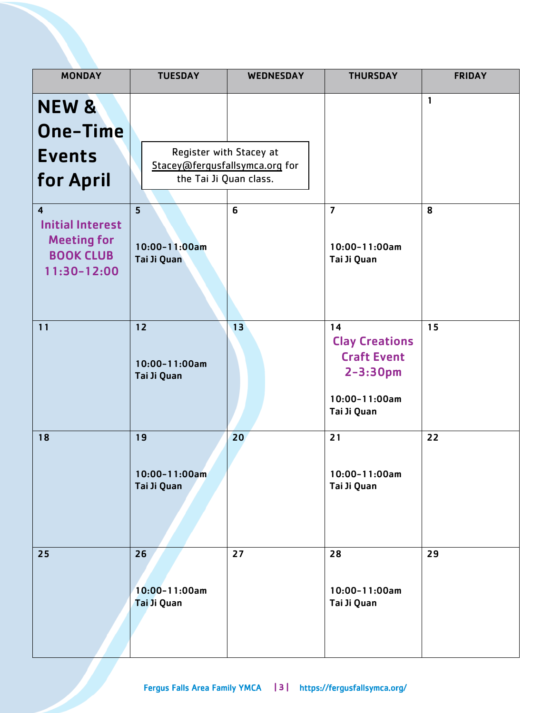| <b>MONDAY</b>                             | <b>TUESDAY</b>                                           | <b>WEDNESDAY</b> | <b>THURSDAY</b>                             | <b>FRIDAY</b> |
|-------------------------------------------|----------------------------------------------------------|------------------|---------------------------------------------|---------------|
| NEW &                                     |                                                          |                  |                                             | 1             |
| <b>One-Time</b>                           |                                                          |                  |                                             |               |
| <b>Events</b>                             | Register with Stacey at                                  |                  |                                             |               |
| for April                                 | Stacey@ferqusfallsymca.org for<br>the Tai Ji Quan class. |                  |                                             |               |
|                                           |                                                          |                  |                                             |               |
| $\overline{4}$<br><b>Initial Interest</b> | 5                                                        | 6                | $\overline{7}$                              | 8             |
| <b>Meeting for</b>                        | 10:00-11:00am                                            |                  | 10:00-11:00am                               |               |
| <b>BOOK CLUB</b><br>11:30-12:00           | Tai Ji Quan                                              |                  | Tai Ji Quan                                 |               |
|                                           |                                                          |                  |                                             |               |
|                                           |                                                          |                  |                                             |               |
| 11                                        | 12                                                       | 13               | 14                                          | 15            |
|                                           |                                                          |                  | <b>Clay Creations</b><br><b>Craft Event</b> |               |
|                                           | 10:00-11:00am<br>Tai Ji Quan                             |                  | $2 - 3:30pm$                                |               |
|                                           |                                                          |                  | 10:00-11:00am                               |               |
|                                           |                                                          |                  | Tai Ji Quan                                 |               |
| 18                                        | 19                                                       | 20               | 21                                          | 22            |
|                                           | $10:00 - 11:00$ am                                       |                  | $10:00 - 11:00am$                           |               |
|                                           | Tai Ji Quan                                              |                  | Tai Ji Quan                                 |               |
|                                           |                                                          |                  |                                             |               |
|                                           |                                                          |                  |                                             |               |
| 25                                        | 26                                                       | 27               | 28                                          | 29            |
|                                           |                                                          |                  |                                             |               |
|                                           | 10:00-11:00am<br>Tai Ji Quan                             |                  | 10:00-11:00am<br>Tai Ji Quan                |               |
|                                           |                                                          |                  |                                             |               |
|                                           |                                                          |                  |                                             |               |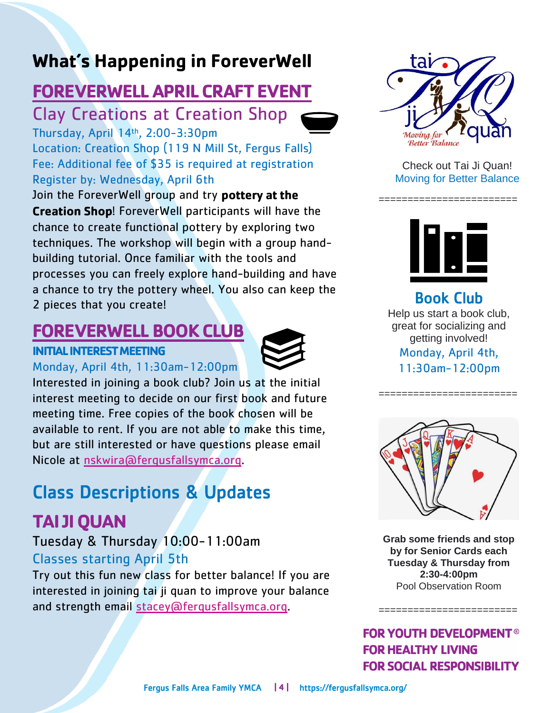# **What's Happening in ForeverWell**

## **FOREVERWELL APRIL CRAFT EVENT**

Clay Creations at Creation Shop

Thursday, April 14th , 2:00-3:30pm Location: Creation Shop (119 N Mill St, Fergus Falls) Fee: Additional fee of \$35 is required at registration Register by: Wednesday, April 6th

Join the ForeverWell group and try pottery at the **Creation Shop!** ForeverWell participants will have the chance to create functional pottery by exploring two techniques. The workshop will begin with a group handbuilding tutorial. Once familiar with the tools and processes you can freely explore hand-building and have a chance to try the pottery wheel. You also can keep the 2 pieces that you create!

## **FOREVERWELL BOOK CLUB**

### **INITIAL INTEREST MEETING**





Interested in joining a book club? Join us at the initial interest meeting to decide on our first book and future meeting time. Free copies of the book chosen will be available to rent. If you are not able to make this time, but are still interested or have questions please email Nicole at [nskwira@fergusfallsymca.org.](mailto:nskwira@fergusfallsymca.org)

# Class Descriptions & Updates

# **TAI JI QUAN**

## Tuesday & Thursday 10:00-11:00am

### Classes starting April 5th

Try out this fun new class for better balance! If you are interested in joining tai ji quan to improve your balance and strength email [stacey@fergusfallsymca.org.](mailto:stacey@fergusfallsymca.org)



Check out Tai Ji Quan! Moving for Better Balance



========================

Book Club Help us start a book club, great for socializing and getting involved! Monday, April 4th, 11:30am-12:00pm

========================



**Grab some friends and stop by for Senior Cards each Tuesday & Thursday from 2:30-4:00pm** Pool Observation Room

========================

**FOR YOUTH DEVELOPMENT ® FOR HEALTHY LIVING FOR SOCIAL RESPONSIBILITY**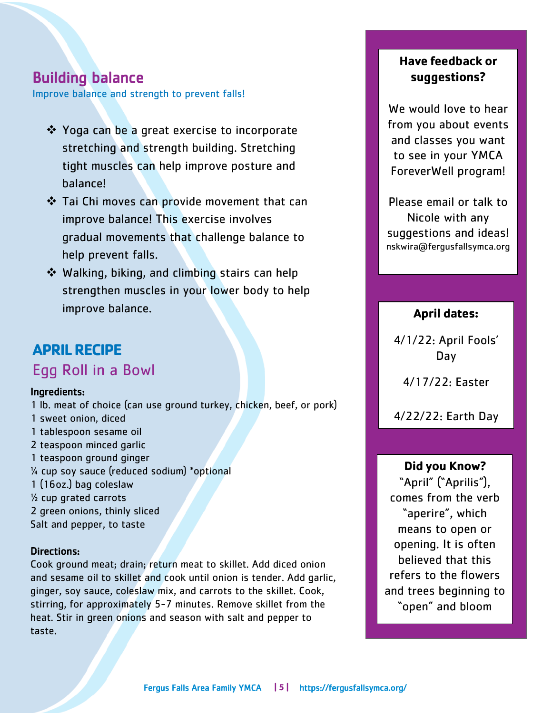### Building balance

Improve balance and strength to prevent falls!

- ❖ Yoga can be a great exercise to incorporate stretching and strength building. Stretching tight muscles can help improve posture and balance!
- ❖ Tai Chi moves can provide movement that can improve balance! This exercise involves gradual movements that challenge balance to help prevent falls.
- ❖ Walking, biking, and climbing stairs can help strengthen muscles in your lower body to help improve balance.

## **APRILRECIPE**  Egg Roll in a Bowl

#### Ingredients:

1 lb. meat of choice (can use ground turkey, chicken, beef, or pork) 1 sweet onion, diced 1 tablespoon sesame oil 2 teaspoon minced garlic 1 teaspoon ground ginger ¼ cup soy sauce (reduced sodium) \*optional 1 (16oz.) bag coleslaw ½ cup grated carrots 2 green onions, thinly sliced Salt and pepper, to taste

#### Directions:

Cook ground meat; drain; return meat to skillet. Add diced onion and sesame oil to skillet and cook until onion is tender. Add garlic, ginger, soy sauce, coleslaw mix, and carrots to the skillet. Cook, stirring, for approximately 5-7 minutes. Remove skillet from the heat. Stir in green onions and season with salt and pepper to taste.

### **Have feedback or** suggestions?

We would love to hear from you about events and classes you want to see in your YMCA ForeverWell program!

Please email or talk to Nicole with any suggestions and ideas! nskwira@fergusfallsymca.org

### **April dates:**

4/1/22: April Fools' Day

4/17/22: Easter

4/22/22: Earth Day

#### Did you Know?

"April" ("Aprilis"), comes from the verb "aperire", which means to open or opening. It is often believed that this refers to the flowers and trees beginning to "open" and bloom